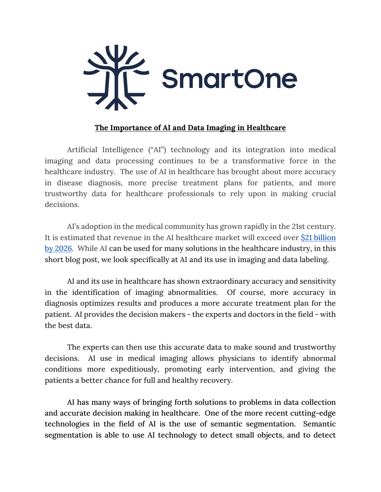

## **The Importance of AI and Data Imaging in Healthcare**

Artificial Intelligence ("AI") technology and its integration into medical imaging and data processing continues to be a transformative force in the healthcare industry. The use of AI in healthcare has brought about more accuracy in disease diagnosis, more precise treatment plans for patients, and more trustworthy data for healthcare professionals to rely upon in making crucial decisions.

AI's adoption in the medical community has grown rapidly in the 21st century. It is estimated that revenue in the AI healthcare market will exceed over \$21 billion by 2026. While AI can be used for many solutions in the healthcare industry, in this short blog post, we look specifically at AI and its use in imaging and data labeling.

AI and its use in healthcare has shown extraordinary accuracy and sensitivity in the identification of imaging abnormalities. Of course, more accuracy in diagnosis optimizes results and produces a more accurate treatment plan for the patient. AI provides the decision makers - the experts and doctors in the field - with the best data.

The experts can then use this accurate data to make sound and trustworthy decisions. AI use in medical imaging allows physicians to identify abnormal conditions more expeditiously, promoting early intervention, and giving the patients a better chance for full and healthy recovery.

AI has many ways of bringing forth solutions to problems in data collection and accurate decision making in healthcare. One of the more recent cutting-edge technologies in the field of AI is the use of semantic segmentation. Semantic segmentation is able to use AI technology to detect small objects, and to detect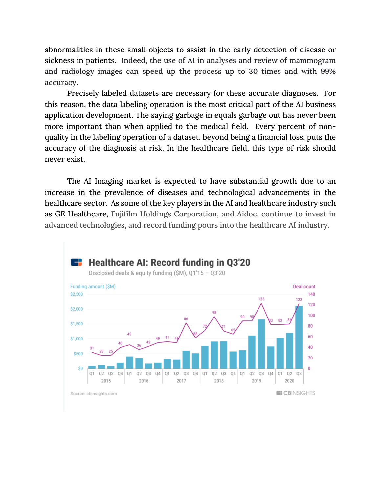abnormalities in these small objects to assist in the early detection of disease or sickness in patients. Indeed, the use of AI in analyses and review of mammogram and radiology images can speed up the process up to 30 times and with 99% accuracy.

Precisely labeled datasets are necessary for these accurate diagnoses. For this reason, the data labeling operation is the most critical part of the AI business application development. The saying garbage in equals garbage out has never been more important than when applied to the medical field. Every percent of nonquality in the labeling operation of a dataset, beyond being a financial loss, puts the accuracy of the diagnosis at risk. In the healthcare field, this type of risk should never exist.

The AI Imaging market is expected to have substantial growth due to an increase in the prevalence of diseases and technological advancements in the healthcare sector. As some of the key players in the AI and healthcare industry such as GE Healthcare, Fujifilm Holdings Corporation, and Aidoc, continue to invest in advanced technologies, and record funding pours into the healthcare AI industry.